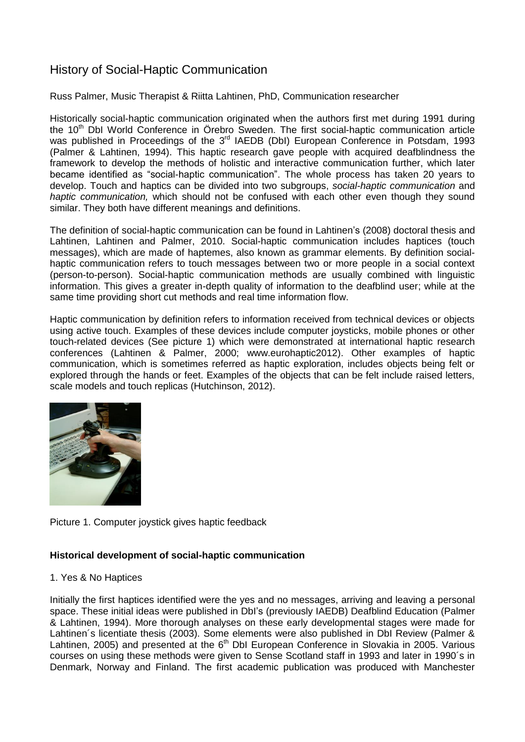# History of Social-Haptic Communication

## Russ Palmer, Music Therapist & Riitta Lahtinen, PhD, Communication researcher

Historically social-haptic communication originated when the authors first met during 1991 during the 10<sup>th</sup> DbI World Conference in Örebro Sweden. The first social-haptic communication article was published in Proceedings of the 3<sup>rd</sup> IAEDB (DbI) European Conference in Potsdam, 1993 (Palmer & Lahtinen, 1994). This haptic research gave people with acquired deafblindness the framework to develop the methods of holistic and interactive communication further, which later became identified as "social-haptic communication". The whole process has taken 20 years to develop. Touch and haptics can be divided into two subgroups, *social-haptic communication* and *haptic communication,* which should not be confused with each other even though they sound similar. They both have different meanings and definitions.

The definition of social-haptic communication can be found in Lahtinen's (2008) doctoral thesis and Lahtinen, Lahtinen and Palmer, 2010. Social-haptic communication includes haptices (touch messages), which are made of haptemes, also known as grammar elements. By definition socialhaptic communication refers to touch messages between two or more people in a social context (person-to-person). Social-haptic communication methods are usually combined with linguistic information. This gives a greater in-depth quality of information to the deafblind user; while at the same time providing short cut methods and real time information flow.

Haptic communication by definition refers to information received from technical devices or objects using active touch. Examples of these devices include computer joysticks, mobile phones or other touch-related devices (See picture 1) which were demonstrated at international haptic research conferences (Lahtinen & Palmer, 2000; www.eurohaptic2012). Other examples of haptic communication, which is sometimes referred as haptic exploration, includes objects being felt or explored through the hands or feet. Examples of the objects that can be felt include raised letters, scale models and touch replicas (Hutchinson, 2012).



Picture 1. Computer joystick gives haptic feedback

## **Historical development of social-haptic communication**

## 1. Yes & No Haptices

Initially the first haptices identified were the yes and no messages, arriving and leaving a personal space. These initial ideas were published in DbI's (previously IAEDB) Deafblind Education (Palmer & Lahtinen, 1994). More thorough analyses on these early developmental stages were made for Lahtinen´s licentiate thesis (2003). Some elements were also published in DbI Review (Palmer & Lahtinen, 2005) and presented at the  $6<sup>th</sup>$  DbI European Conference in Slovakia in 2005. Various courses on using these methods were given to Sense Scotland staff in 1993 and later in 1990´s in Denmark, Norway and Finland. The first academic publication was produced with Manchester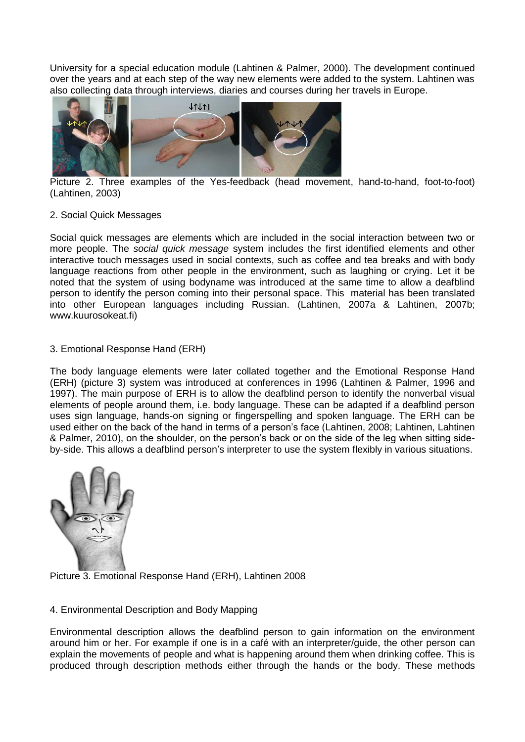University for a special education module (Lahtinen & Palmer, 2000). The development continued over the years and at each step of the way new elements were added to the system. Lahtinen was also collecting data through interviews, diaries and courses during her travels in Europe.



Picture 2. Three examples of the Yes-feedback (head movement, hand-to-hand, foot-to-foot) (Lahtinen, 2003)

#### 2. Social Quick Messages

Social quick messages are elements which are included in the social interaction between two or more people. The *social quick message* system includes the first identified elements and other interactive touch messages used in social contexts, such as coffee and tea breaks and with body language reactions from other people in the environment, such as laughing or crying. Let it be noted that the system of using bodyname was introduced at the same time to allow a deafblind person to identify the person coming into their personal space. This material has been translated into other European languages including Russian. (Lahtinen, 2007a & Lahtinen, 2007b; www.kuurosokeat.fi)

## 3. Emotional Response Hand (ERH)

The body language elements were later collated together and the Emotional Response Hand (ERH) (picture 3) system was introduced at conferences in 1996 (Lahtinen & Palmer, 1996 and 1997). The main purpose of ERH is to allow the deafblind person to identify the nonverbal visual elements of people around them, i.e. body language. These can be adapted if a deafblind person uses sign language, hands-on signing or fingerspelling and spoken language. The ERH can be used either on the back of the hand in terms of a person's face (Lahtinen, 2008; Lahtinen, Lahtinen & Palmer, 2010), on the shoulder, on the person's back or on the side of the leg when sitting sideby-side. This allows a deafblind person's interpreter to use the system flexibly in various situations.





## 4. Environmental Description and Body Mapping

Environmental description allows the deafblind person to gain information on the environment around him or her. For example if one is in a café with an interpreter/guide, the other person can explain the movements of people and what is happening around them when drinking coffee. This is produced through description methods either through the hands or the body. These methods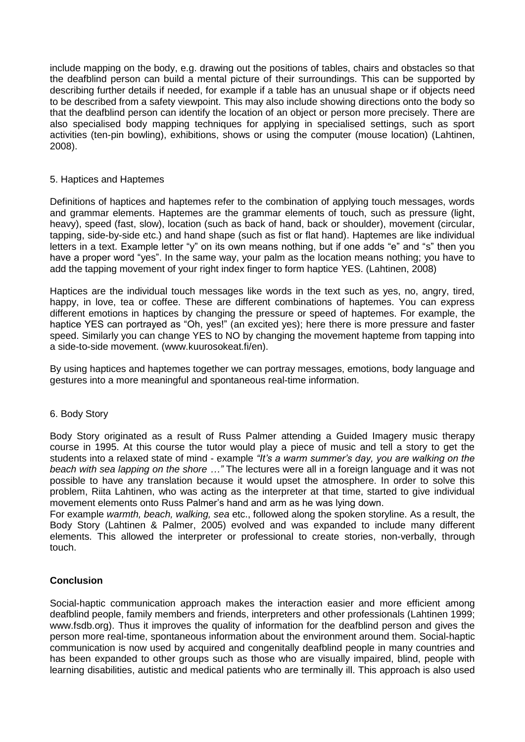include mapping on the body, e.g. drawing out the positions of tables, chairs and obstacles so that the deafblind person can build a mental picture of their surroundings. This can be supported by describing further details if needed, for example if a table has an unusual shape or if objects need to be described from a safety viewpoint. This may also include showing directions onto the body so that the deafblind person can identify the location of an object or person more precisely. There are also specialised body mapping techniques for applying in specialised settings, such as sport activities (ten-pin bowling), exhibitions, shows or using the computer (mouse location) (Lahtinen, 2008).

## 5. Haptices and Haptemes

Definitions of haptices and haptemes refer to the combination of applying touch messages, words and grammar elements. Haptemes are the grammar elements of touch, such as pressure (light, heavy), speed (fast, slow), location (such as back of hand, back or shoulder), movement (circular, tapping, side-by-side etc.) and hand shape (such as fist or flat hand). Haptemes are like individual letters in a text. Example letter "y" on its own means nothing, but if one adds "e" and "s" then you have a proper word "yes". In the same way, your palm as the location means nothing; you have to add the tapping movement of your right index finger to form haptice YES. (Lahtinen, 2008)

Haptices are the individual touch messages like words in the text such as yes, no, angry, tired, happy, in love, tea or coffee. These are different combinations of haptemes. You can express different emotions in haptices by changing the pressure or speed of haptemes. For example, the haptice YES can portrayed as "Oh, yes!" (an excited yes); here there is more pressure and faster speed. Similarly you can change YES to NO by changing the movement hapteme from tapping into a side-to-side movement. (www.kuurosokeat.fi/en).

By using haptices and haptemes together we can portray messages, emotions, body language and gestures into a more meaningful and spontaneous real-time information.

#### 6. Body Story

Body Story originated as a result of Russ Palmer attending a Guided Imagery music therapy course in 1995. At this course the tutor would play a piece of music and tell a story to get the students into a relaxed state of mind - example *"It's a warm summer's day, you are walking on the beach with sea lapping on the shore …"* The lectures were all in a foreign language and it was not possible to have any translation because it would upset the atmosphere. In order to solve this problem, Riita Lahtinen, who was acting as the interpreter at that time, started to give individual movement elements onto Russ Palmer's hand and arm as he was lying down.

For example *warmth, beach, walking, sea* etc., followed along the spoken storyline. As a result, the Body Story (Lahtinen & Palmer, 2005) evolved and was expanded to include many different elements. This allowed the interpreter or professional to create stories, non-verbally, through touch.

## **Conclusion**

Social-haptic communication approach makes the interaction easier and more efficient among deafblind people, family members and friends, interpreters and other professionals (Lahtinen 1999; www.fsdb.org). Thus it improves the quality of information for the deafblind person and gives the person more real-time, spontaneous information about the environment around them. Social-haptic communication is now used by acquired and congenitally deafblind people in many countries and has been expanded to other groups such as those who are visually impaired, blind, people with learning disabilities, autistic and medical patients who are terminally ill. This approach is also used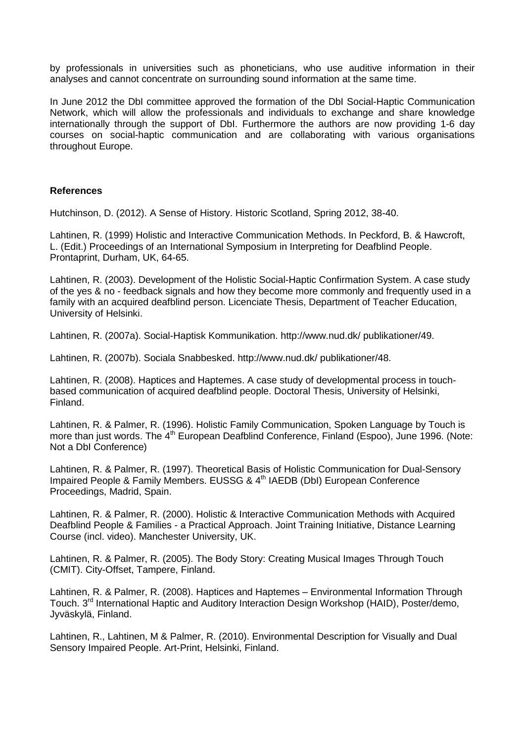by professionals in universities such as phoneticians, who use auditive information in their analyses and cannot concentrate on surrounding sound information at the same time.

In June 2012 the DbI committee approved the formation of the DbI Social-Haptic Communication Network, which will allow the professionals and individuals to exchange and share knowledge internationally through the support of DbI. Furthermore the authors are now providing 1-6 day courses on social-haptic communication and are collaborating with various organisations throughout Europe.

#### **References**

Hutchinson, D. (2012). A Sense of History. Historic Scotland, Spring 2012, 38-40.

Lahtinen, R. (1999) Holistic and Interactive Communication Methods. In Peckford, B. & Hawcroft, L. (Edit.) Proceedings of an International Symposium in Interpreting for Deafblind People. Prontaprint, Durham, UK, 64-65.

Lahtinen, R. (2003). Development of the Holistic Social-Haptic Confirmation System. A case study of the yes & no - feedback signals and how they become more commonly and frequently used in a family with an acquired deafblind person. Licenciate Thesis, Department of Teacher Education, University of Helsinki.

Lahtinen, R. (2007a). Social-Haptisk Kommunikation. http://www.nud.dk/ publikationer/49.

Lahtinen, R. (2007b). Sociala Snabbesked. http://www.nud.dk/ publikationer/48.

Lahtinen, R. (2008). Haptices and Haptemes. A case study of developmental process in touchbased communication of acquired deafblind people. Doctoral Thesis, University of Helsinki, Finland.

Lahtinen, R. & Palmer, R. (1996). Holistic Family Communication, Spoken Language by Touch is more than just words. The 4<sup>th</sup> European Deafblind Conference, Finland (Espoo), June 1996. (Note: Not a DbI Conference)

Lahtinen, R. & Palmer, R. (1997). Theoretical Basis of Holistic Communication for Dual-Sensory Impaired People & Family Members. EUSSG & 4<sup>th</sup> IAEDB (DbI) European Conference Proceedings, Madrid, Spain.

Lahtinen, R. & Palmer, R. (2000). Holistic & Interactive Communication Methods with Acquired Deafblind People & Families - a Practical Approach. Joint Training Initiative, Distance Learning Course (incl. video). Manchester University, UK.

Lahtinen, R. & Palmer, R. (2005). The Body Story: Creating Musical Images Through Touch (CMIT). City-Offset, Tampere, Finland.

Lahtinen, R. & Palmer, R. (2008). Haptices and Haptemes – Environmental Information Through Touch. 3<sup>rd</sup> International Haptic and Auditory Interaction Design Workshop (HAID), Poster/demo, Jyväskylä, Finland.

Lahtinen, R., Lahtinen, M & Palmer, R. (2010). Environmental Description for Visually and Dual Sensory Impaired People. Art-Print, Helsinki, Finland.